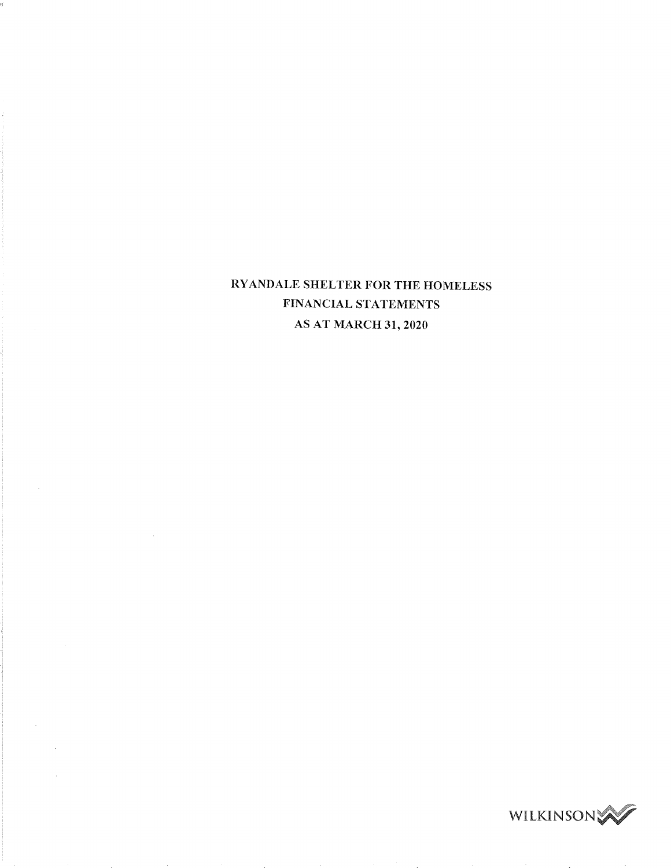# RYANDALE SHELTER FOR THE HOMELESS FINANCIAL STATEMENTS AS AT MARCH 31, <sup>2020</sup>

à,

 $\mathcal{A}^{\mathcal{A}}$ 

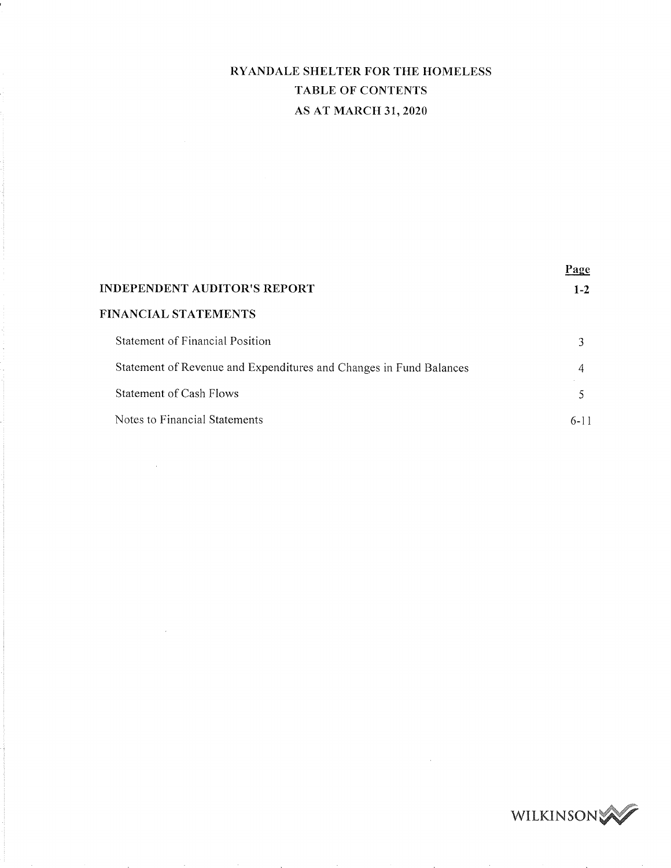# RYANDALE SHELTER FOR THE HOMELESS TABLE OF CONTENTS AS AT MARCH 31, <sup>2020</sup>

| INDEPENDENT AUDITOR'S REPORT-                                      | Page<br>$1 - 2$ |
|--------------------------------------------------------------------|-----------------|
| FINANCIAL STATEMENTS                                               |                 |
| Statement of Financial Position                                    | 3               |
| Statement of Revenue and Expenditures and Changes in Fund Balances | 4               |
| <b>Statement of Cash Flows</b>                                     | 5               |
| Notes to Financial Statements                                      | $6 - 11$        |
|                                                                    |                 |

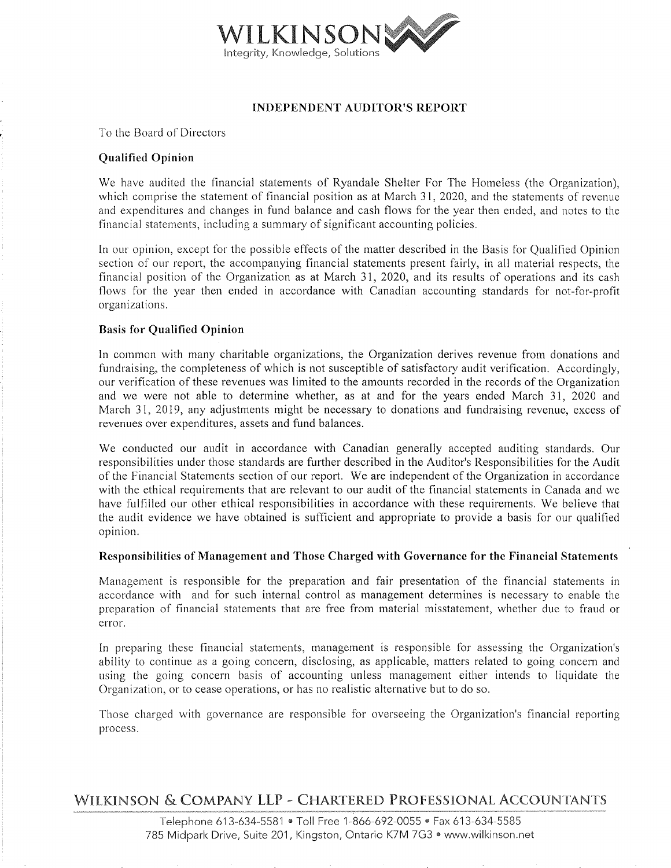

## INDEPENDENT AUDITOR'S REPORT

TO the Board of Directors

## Qualified Opinion

We have audited the financial statements of Ryandale Shelter For The Homeless (the Organization), which comprise the statement of financial position as at March 31, 2020, and the statements of revenue and expenditures and changes in fund balance and cash flows for the year then ended, and notes to the financial statements, including a summary of significant accounting policies.

In our opinion, except for the possible effects of the matter described in the Basis for Qualified Opinion section of our report, the accompanying financial statements present fairly, in all material respects, the financial position of the Organization as at March 31, 2020, and its results of operations and its cash flows for the year then ended in accordance with Canadian accounting standards for not-for-profit organizations.

### Basis for Qualified Opinion

In common with many charitable organizations, the Organization derives revenue from donations and fundraising, the completeness of which is not susceptible of satisfactory audit verification. Accordingly, our verification of these revenues was limited to the amounts recorded in the records of the Organization and we were not able to determine whether, as at and for the years ended March 31, 2020 and March 31, 2019, any adjustments might be necessary to donations and fundraising revenue, excess of revenues over expenditures, assets and fund balances.

We conducted our audit in accordance with Canadian generally accepted auditing standards. Our responsibilities under those standards are further described in the Auditor's Responsibilities for the Audit of the Financial Statements section of our report. We are independent of the Organization in accordance with the ethical requirements that are relevant to our audit of the financial statements in Canada and we have fulfilled our other ethical responsibilities in accordance with these requirements. We believe that the audit evidence we have obtained is sufficient and appropriate to provide a basis for our qualified opinion.

### Responsibilities of Management and Those Charged with Governance for the Financial Statements

Management is responsible for the preparation and fair presentation of the financial statements in accordance with and for such internal control as management determines is necessary to enable the preparation of financial statements that are free from material misstatement, whether due to fraud or error.

In preparing these financial statements, management is responsible for assessing the Organization's ability to continue as a going concern, disclosing, as applicable, matters related to going concern and using the going concern basis of accounting unless management either intends to liquidate the Organization, or to cease operations, or has no realistic alternative but to do so.

Those charged with governance are responsible for overseeing the Organization's financial reporting process.

## WILKINSON & COMPANY LLP - CHARTERED PROFESSIONAL ACCOUNTANTS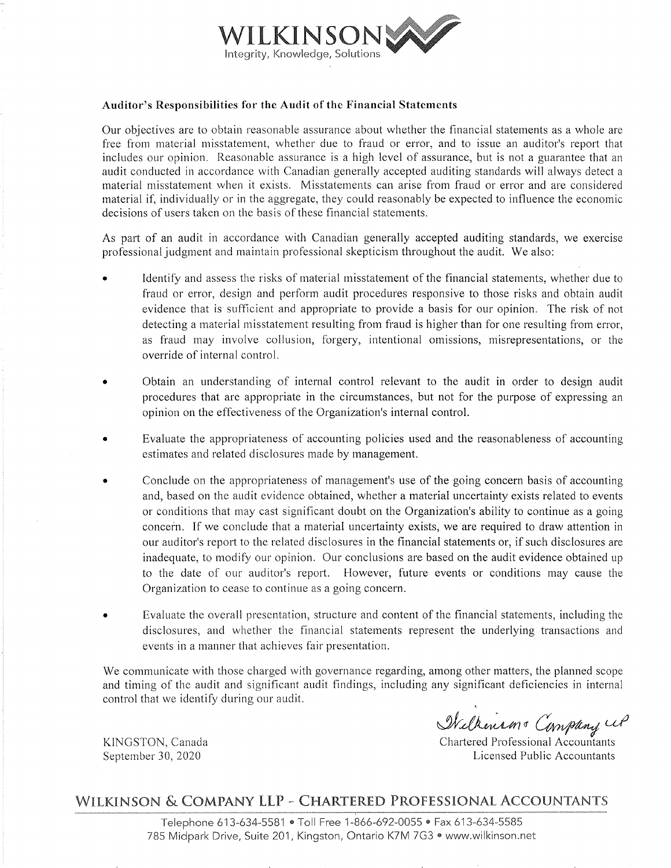

### Auditor's Responsibilities for the Audit of the Financial Statements

Our objectives are to obtain reasonable assurance about whether the financial statements as whole are free from material misstatement, whether due to fraud or error, and to issue an auditor's report that includes our opinion. Reasonable assurance is a high level of assurance, but is not a guarantee that an audit conducted in accordance with Canadian generally accepted auditing standards will always detect a material misstatement when it exists. Misstatements can arise from fraud or error and are considered material if, individually or in the aggregate, they could reasonably be expected to influence the economic decisions of users taken on the basis of these financial statements.

As part of an audit in accordance with Canadian generally accepted auditing standards, we exercise professional judgment and maintain professional skepticism throughout the audit. We also:

- Identify and assess the risks of material misstatement of the financial statements, whether due to fraud or error, design and perform audit procedures responsive to those risks and obtain audit evidence that is sufficient and appropriate to provide a basis for our opinion. The risk of not detecting a material misstatement resulting from fraud is higher than for one resulting from error, as fraud may involve collusion, forgery, intentional omissions, misrepresentations, or the override of internal control.
- 0 Obtain an understanding of internal control relevant to the audit in order to design audit procedures that are appropriate in the circumstances, but not for the purpose of expressing an opinion on the effectiveness of the Organization's internal control.
- <sup>0</sup> Evaluate the appropriateness of accounting policies used and the reasonableness of accounting estimates and related disclosures made by management.
- <sup>0</sup> Conclude on the appropriateness of management's use of the going concern basis of accounting and, based on the audit evidence obtained, whether a material uncertainty exists related to events or conditions that may cast significant doubt on the Organization's ability to continue as going concern. If we conclude that a material uncertainty exists, we are required to draw attention in our auditor's report to the related disclosures in the financial statements or, if such disclosures are inadequate, to modify our opinion. Our conclusions are based on the audit evidence obtained up to the date of our auditor's report. However, future events or conditions may cause the Organization to cease to continue as going concern.
- Evaluate the overall presentation, structure and content of the financial statements, including the disclosures, and whether the financial statements represent the underlying transactions and events in a manner that achieves fair presentation.

We communicate with those charged with governance regarding, among other matters, the planned scope and timing of the audit and significant audit findings, including any significant deficiencies in internal control that we identify during our audit.<br>Welkensing Compling Compliants (Compliants Compliants Chartered Professional Accountants

KINGSTON, Canada<br>
September 30, 2020<br>
Chartered Professional Accountants<br>
Licensed Public Accountants Licensed Public Accountants

## WILKENSON & COMPANY LLP — CHARTERED PROFESSIONAL ACCOUNTANTS

Telephone 613-634-5581 · Toll Free 1-866-692-0055 · Fax 613-634-5585 785 Midpark Drive, Suite 201, Kingston, Ontario K7M 7G3 · www.wilkinson.net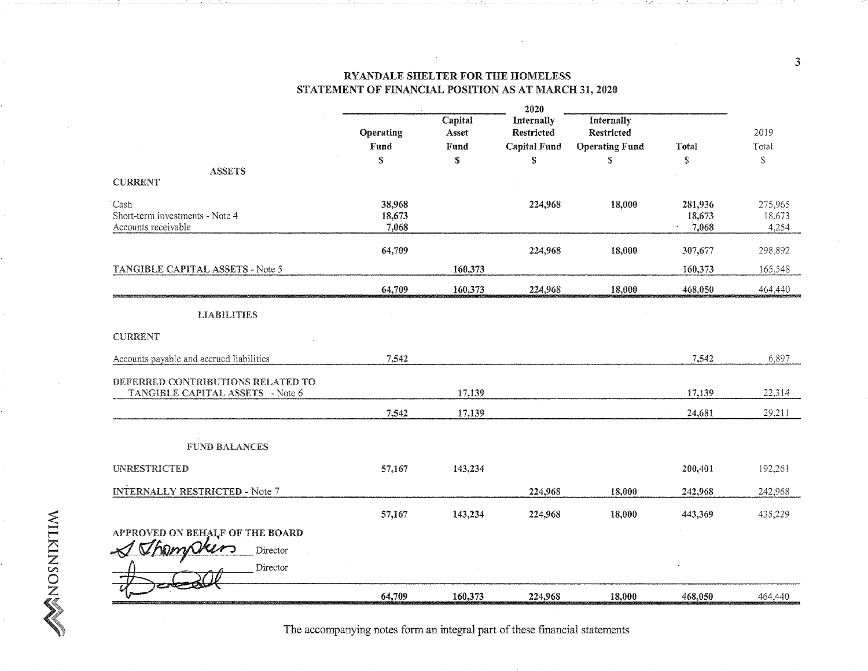|                                                                       | 2020                      |                       |                          |                                 |                                      |                            |
|-----------------------------------------------------------------------|---------------------------|-----------------------|--------------------------|---------------------------------|--------------------------------------|----------------------------|
|                                                                       | Operating<br>Fund         | Capital<br>Asset      | Internally<br>Restricted | Internally<br><b>Restricted</b> |                                      | 2019                       |
|                                                                       | \$                        | Fund<br>${\mathbb S}$ | Capital Fund<br>\$       | <b>Operating Fund</b><br>S      | Total<br>$\mathbb S$                 | Total<br>\$                |
| <b>ASSETS</b><br><b>CURRENT</b>                                       |                           |                       |                          |                                 |                                      |                            |
| Cash<br>Short-term investments - Note 4<br>Accounts receivable        | 38,968<br>18,673<br>7,068 |                       | 224,968                  | 18,000                          | 281,936<br>18,673<br>7,068<br>$\sim$ | 275,965<br>18,673<br>4,254 |
|                                                                       | 64,709                    |                       | 224,968                  | 18,000                          | 307,677                              | 298,892                    |
| TANGIBLE CAPITAL ASSETS - Note 5                                      |                           | 160,373               |                          |                                 | $-160,373$                           | 165,548                    |
|                                                                       | 64,709                    | 160,373               | 224,968                  | 18,000                          | 468,050                              | 464,440                    |
| <b>LIABILITIES</b>                                                    |                           |                       |                          |                                 |                                      |                            |
| CURRENT                                                               |                           |                       |                          |                                 |                                      |                            |
| Accounts payable and accrued liabilities                              | 7,542                     |                       |                          |                                 | 7,542                                | 6,897                      |
| DEFERRED CONTRIBUTIONS RELATED TO<br>TANGIBLE CAPITAL ASSETS - Note 6 |                           | 17,139                |                          |                                 | 17,139                               | 22,314                     |
|                                                                       | 7,542                     | 17,139                |                          |                                 | 24,681                               | 29,211                     |
| <b>FUND BALANCES</b>                                                  |                           |                       |                          |                                 |                                      |                            |
| <b>UNRESTRICTED</b>                                                   | 57,167                    | 143,234               |                          |                                 | 200,401                              | 192,261                    |
| <b>INTERNALLY RESTRICTED - Note 7</b>                                 |                           |                       | 224,968                  | 18,000                          | 242,968                              | 242,968                    |
|                                                                       | 57,167                    | 143,234               | 224,968                  | 18,000                          | 443,369                              | 435,229                    |
| APPROVED ON BEHALF OF THE BOARD                                       |                           |                       |                          |                                 |                                      |                            |
| Thompkers<br>Director                                                 |                           |                       |                          |                                 |                                      |                            |
| Director                                                              |                           |                       |                          |                                 |                                      |                            |
|                                                                       | 64,709                    | 160,373               | 224,968                  | 18,000                          | 468,050                              | 464,440                    |

The accompanying notes form an integral part of these financial statements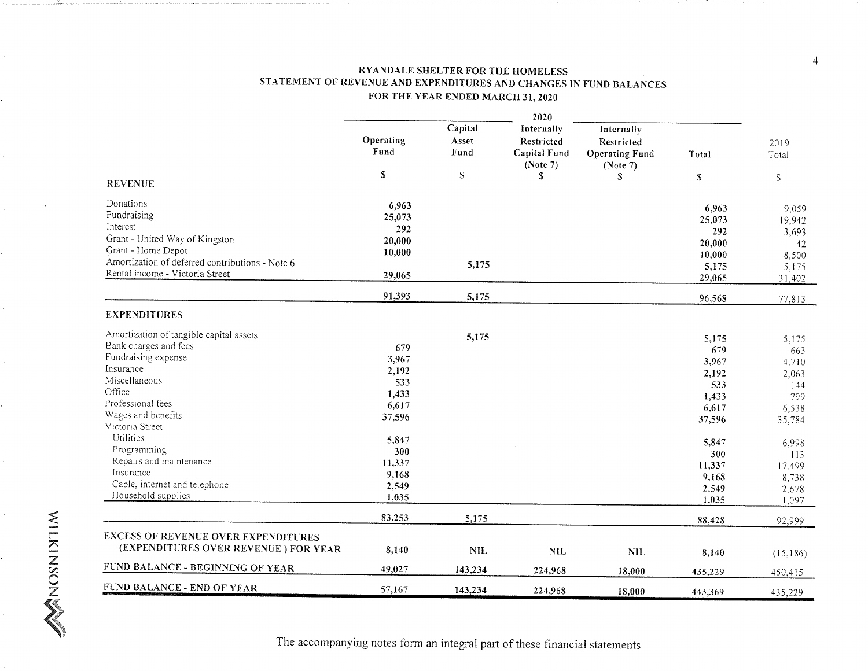## RYANDALE SHELTER FOR THE HOMELESS STATEMENT OF REVENUE AND EXPENDITURES AND CHANGES IN FUND BALANCES FOR THE YEAR ENDED MARCH 31, <sup>2020</sup>

|                                                                                    | 2020              |                          |                                                      |                                                               |                 |                 |
|------------------------------------------------------------------------------------|-------------------|--------------------------|------------------------------------------------------|---------------------------------------------------------------|-----------------|-----------------|
|                                                                                    | Operating<br>Fund | Capital<br>Asset<br>Fund | Internally<br>Restricted<br>Capital Fund<br>(Note 7) | Internally<br>Restricted<br><b>Operating Fund</b><br>(Note 7) | Total           | 2019<br>Total   |
| <b>REVENUE</b>                                                                     | $\mathbb S$       | $\mathbb S$              | <sup>S</sup>                                         | \$                                                            | ${\mathbb S}$   | ${\mathbb S}$   |
| Donations                                                                          | 6,963             |                          |                                                      |                                                               |                 |                 |
| Fundraising                                                                        | 25,073            |                          |                                                      |                                                               | 6,963           | 9,059           |
| Interest                                                                           | 292               |                          |                                                      |                                                               | 25,073<br>292   | 19,942          |
| Grant - United Way of Kingston                                                     | 20,000            |                          |                                                      |                                                               |                 | 3,693           |
| Grant - Home Depot                                                                 | 10,000            |                          |                                                      |                                                               | 20,000          | 42              |
| Amortization of deferred contributions - Note 6                                    |                   | 5,175                    |                                                      |                                                               | 10,000          | 8,500           |
| Rental income - Victoria Street                                                    | 29,065            |                          |                                                      |                                                               | 5,175<br>29,065 | 5,175<br>31,402 |
|                                                                                    | 91,393            | 5,175                    |                                                      |                                                               | 96,568          | 77,813          |
| <b>EXPENDITURES</b>                                                                |                   |                          |                                                      |                                                               |                 |                 |
| Amortization of tangible capital assets                                            |                   | 5,175                    |                                                      |                                                               | 5,175           | 5,175           |
| Bank charges and fees                                                              | 679               |                          |                                                      |                                                               | 679             | 663             |
| Fundraising expense                                                                | 3,967             |                          |                                                      |                                                               | 3,967           | 4,710           |
| Insurance                                                                          | 2,192             |                          |                                                      |                                                               | 2,192           | 2,063           |
| Miscellaneous                                                                      | 533               |                          |                                                      |                                                               | 533             | 144             |
| Office                                                                             | 1,433             |                          |                                                      |                                                               | 1,433           | 799             |
| Professional fees                                                                  | 6,617             |                          |                                                      |                                                               | 6,617           | 6,538           |
| Wages and benefits                                                                 | 37,596            |                          |                                                      |                                                               | 37,596          | 35,784          |
| Victoria Street                                                                    |                   |                          |                                                      |                                                               |                 |                 |
| Utilities                                                                          | 5,847             |                          |                                                      |                                                               | 5,847           | 6,998           |
| Programming                                                                        | 300               |                          |                                                      |                                                               | 300             | 113             |
| Repairs and maintenance                                                            | 11,337            |                          |                                                      |                                                               | 11,337          | 17,499          |
| Insurance                                                                          | 9,168             |                          |                                                      |                                                               | 9,168           | 8,738           |
| Cable, internet and telephone                                                      | 2,549             |                          |                                                      |                                                               | 2,549           | 2,678           |
| Household supplies                                                                 | 1,035             |                          |                                                      |                                                               | 1,035           | 1,097           |
|                                                                                    | 83,253            | 5,175                    |                                                      |                                                               | 88,428          | 92,999          |
| <b>EXCESS OF REVENUE OVER EXPENDITURES</b><br>(EXPENDITURES OVER REVENUE) FOR YEAR | 8,140             |                          |                                                      |                                                               |                 |                 |
|                                                                                    |                   | <b>NIL</b>               | <b>NIL</b>                                           | <b>NIL</b>                                                    | 8,140           | (15,186)        |
| FUND BALANCE - BEGINNING OF YEAR                                                   | 49,027            | 143,234                  | 224,968                                              | 18,000                                                        | 435,229         | 450,415         |
| FUND BALANCE - END OF YEAR                                                         | 57,167            | 143,234                  | 224,968                                              | 18,000                                                        | 443,369         | 435,229         |

The accompanying notes form an integral part of these financial statements

 $\overline{4}$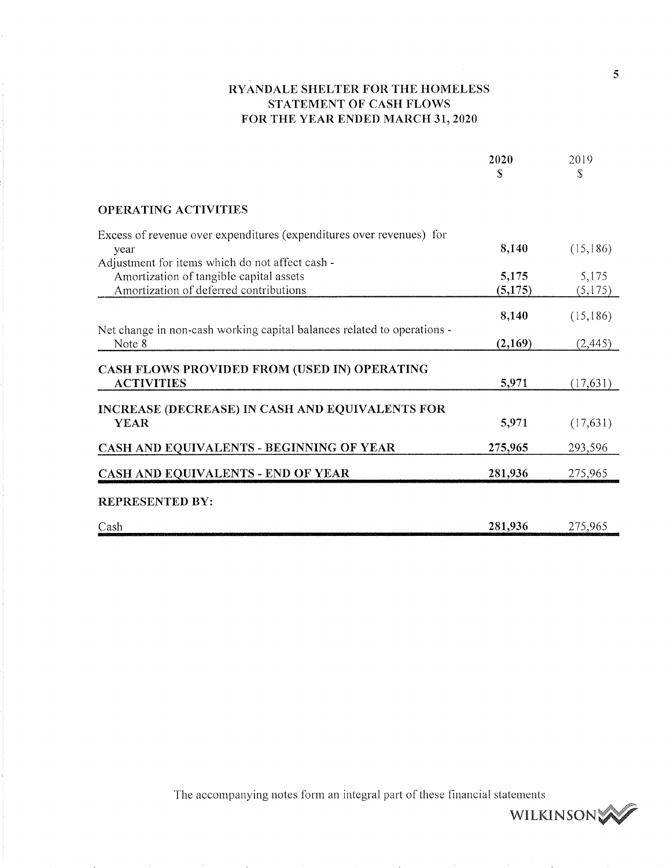## RYANDALE SHELTER FOR THE HOMELESS STATEMENT OF CASH FLOWS FOR THE YEAR ENDED MARCH 31, <sup>2020</sup>

|                                                                                                                                      | 2020<br>S        | 2019<br>\$       |
|--------------------------------------------------------------------------------------------------------------------------------------|------------------|------------------|
| <b>OPERATING ACTIVITIES</b>                                                                                                          |                  |                  |
| Excess of revenue over expenditures (expenditures over revenues) for<br>year                                                         | 8,140            | (15, 186)        |
| Adjustment for items which do not affect cash -<br>Amortization of tangible capital assets<br>Amortization of deferred contributions | 5,175<br>(5,175) | 5,175<br>(5,175) |
|                                                                                                                                      | 8,140            | (15, 186)        |
| Net change in non-cash working capital balances related to operations -<br>Note 8                                                    | (2,169)          | (2,445)          |
| CASH FLOWS PROVIDED FROM (USED IN) OPERATING<br><b>ACTIVITIES</b>                                                                    | 5,971            | (17,631)         |
| INCREASE (DECREASE) IN CASH AND EQUIVALENTS FOR<br><b>YEAR</b>                                                                       | 5,971            | (17, 631)        |
| CASH AND EQUIVALENTS - BEGINNING OF YEAR                                                                                             | 275,965          | 293,596          |
| CASH AND EQUIVALENTS - END OF YEAR                                                                                                   | 281,936          | 275,965          |
| <b>REPRESENTED BY:</b>                                                                                                               |                  |                  |
| Cash                                                                                                                                 | 281,936          | 275,965          |

The accompanying notes form an integral part of these financial statements

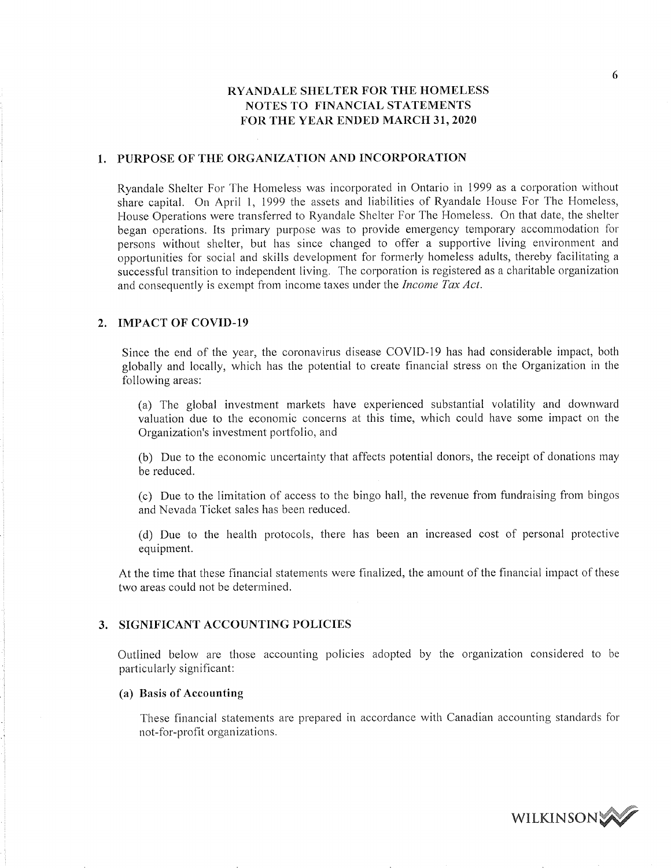#### PURPOSE OF THE ORGANIZATION AND INCORPORATION

Ryandale Shelter For The Homeless was incorporated in Ontario in 1999 as a corporation without share capital. On April 1, 1999 the assets and liabilities of Ryandale House For The Homeless, House Operations were transferred to Ryandale Shelter For The Homeless. On that date, the shelter began operations. Its primary purpose was to provide emergency temporary accommodation for persons without shelter, but has since changed to offer a supportive living environment and opportunities for social and skills development for formerly homeless adults, thereby facilitating successful transition to independent living. The corporation is registered as charitable organization and consequently is exempt from income taxes under the Income Tax Act.

### 2. IMPACT OF COVID-19

Since the end of the year, the coronavirus disease COVID—19 has had considerable impact, both globally and locally, which has the potential to create financial stress on the Organization in the following areas:

(a) The global investment markets have experienced substantial volatility and downward valuation due to the economic concerns at this time, which could have some impact on the Organization's investment portfolio, and

(b) Due to the economic uncertainty that affects potential donors, the receipt of donations may be reduced.

(c) Due to the limitation of access to the bingo hall, the revenue from fundraising from bingos and Nevada Ticket sales has been reduced.

(d) Due to the health protocols, there has been an increased cost of personal protective equipment.

At the time that these financial statements were finalized, the amount of the financial impact of these two areas could not be determined.

#### 3. SIGNIFICANT ACCOUNTING POLICIES

Outlined below are those accounting policies adopted by the organization considered to be particularly significant:

#### (a) Basis of Accounting

These financial statements are prepared in accordance with Canadian accounting standards for not-for-profit organizations.



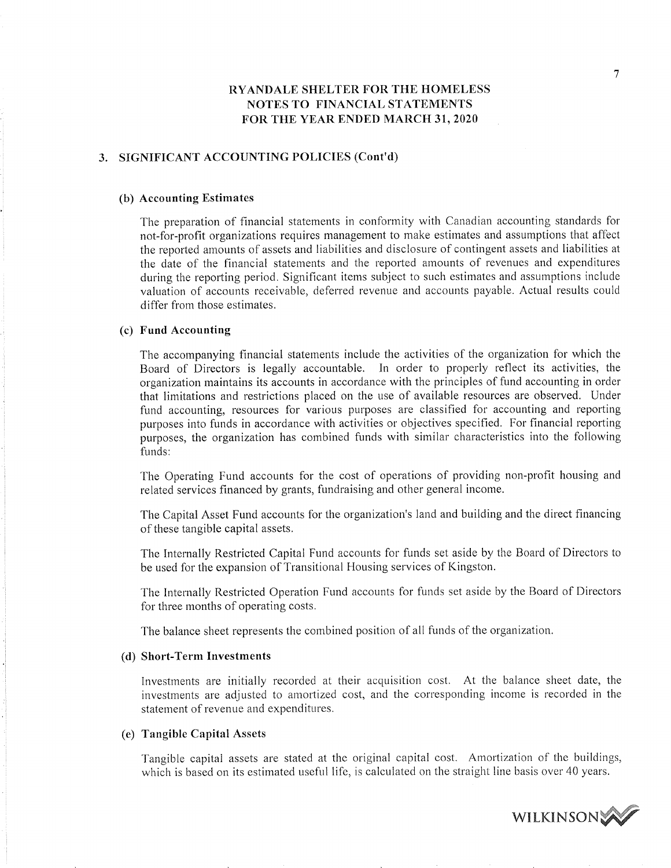### 3. SIGNIFICANT ACCOUNTING POLICIES (Cont'd)

#### (b) Accounting Estimates

The preparation of financial statements in conformity with Canadian accounting standards for not-for-profit organizations requires management to make estimates and assumptions that affect the reported amounts of assets and liabilities and disclosure of contingent assets and liabilities at the date of the financial statements and the reported amounts of revenues and expenditures during the reporting period. Significant items subject to such estimates and assumptions include valuation of accounts receivable, deferred revenue and accounts payable. Actual results could differ from those estimates.

#### (c) Fund Accounting

The accompanying financial statements include the activities of the organization for which the Board of Directors is legally accountable. In order to properly reflect its activities, the organization maintains its accounts in accordance with the principles of fund accounting in order that limitations and restrictions placed on the use of available resources are observed. Under fund accounting, resources for various purposes are classified for accounting and reporting purposes into funds in accordance with activities or objectives specified. For financial reporting purposes, the organization has combined funds with similar characteristics into the following funds:

The Operating Fund accounts for the cost of operations of providing non—profit housing and related services financed by grants, fundraising and other general income.

The Capital Asset Fund accounts for the organization's land and building and the direct financing of these tangible capital assets.

The Internally Restricted Capital Fund accounts for funds set aside by the Board of Directors to be used for the expansion of Transitional Housing services of Kingston.

The Internally Restricted Operation Fund accounts for funds set aside by the Board of Directors for three months of operating costs.

The balance sheet represents the combined position of all funds of the organization.

#### (d) Short-Term Investments

Investments are initially recorded at their acquisition cost. At the balance sheet date, the investments are adjusted to amortized cost, and the corresponding income is recorded in the statement of revenue and expenditures.

#### (e) Tangible Capital Assets

Tangible capital assets are statad at the original capital cost. Amortization of the buildings, which is based on its estimated useful life, is calculated on the straight line basis over 40 years.

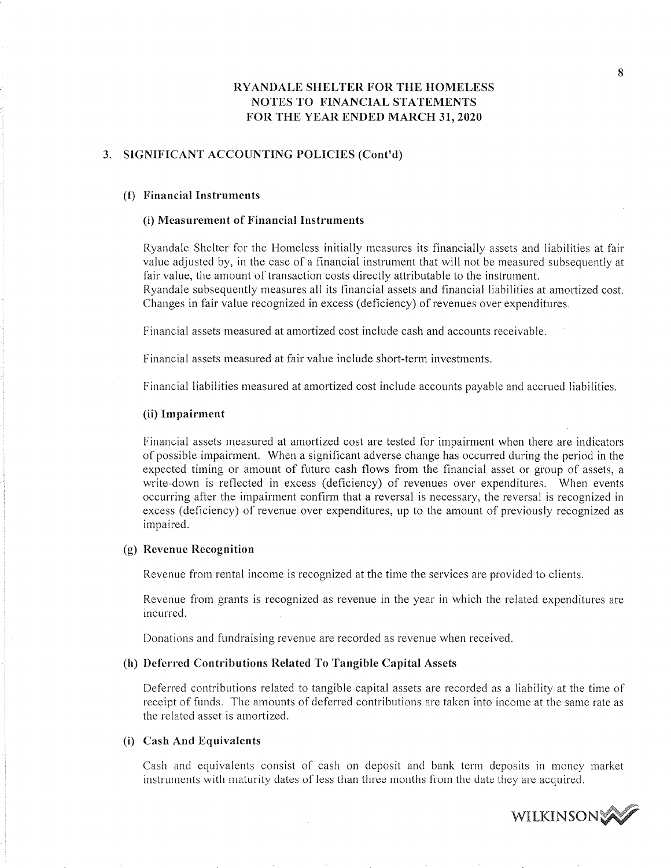#### 3. SIGNIFICANT ACCOUNTING POLICIES (Cont'd)

#### (f) Financial Instruments

#### (i) Measurement of Financial Instruments

Ryandale Shelter for the Homeless initially measures its financially assets and liabilities at fair value adjusted by, in the case of a financial instrument that will not be measured subsequently at fair value, the amount of transaction costs directly attributable to the instrument. Ryandalc subsequently measures all its financial assets and financial liabilities at amortized cost.

Changes in fair value recognized in excess (deficiency) of revenues over expenditures.

Financial assets measured at amortized cost include cash and accounts receivable.

Financial assets measured at fair value include short-term investments.

Financial liabilities measured at amortized cost include accounts payable and accrued liabilities.

#### (ii) Impairment

Financial assets measured at amortized cost are tested for impairment when there are indicators of possible impairment. When a significant adverse change has occurred during the period in the expected timing or amount of future cash flows from the financial asset or group of assets, a write-down is reflected in excess (deficiency) of revenues over expenditures. When events occurring after the impairment confirm that a reversal is necessary, the reversal is recognized in excess (deficiency) of revenue over expenditures, up to the amount of previously recognized as impaired.

#### (g) Revenue Recognition

Revenue from rental income is recognized at the time the services are provided to clients.

Revenue from grants is recognized as revenue in the year in which the related expenditures are incurred.

Donations and fundraising revenue are recorded as revenue when received.

#### (h) Deferred Contributions Related To Tangible Capital Assets

Deferred contributions related to tangible capital assets are recorded as a liability at the time of receipt of funds. The amounts of deferred contributions are taken into income at the same rate as the related asset is amortized.

## (i) Cash And Equivalents

Cash and equivalents consist of cash on deposit and bank term deposits in money market instruments with maturity dates of less than three months from the date they are acquired.

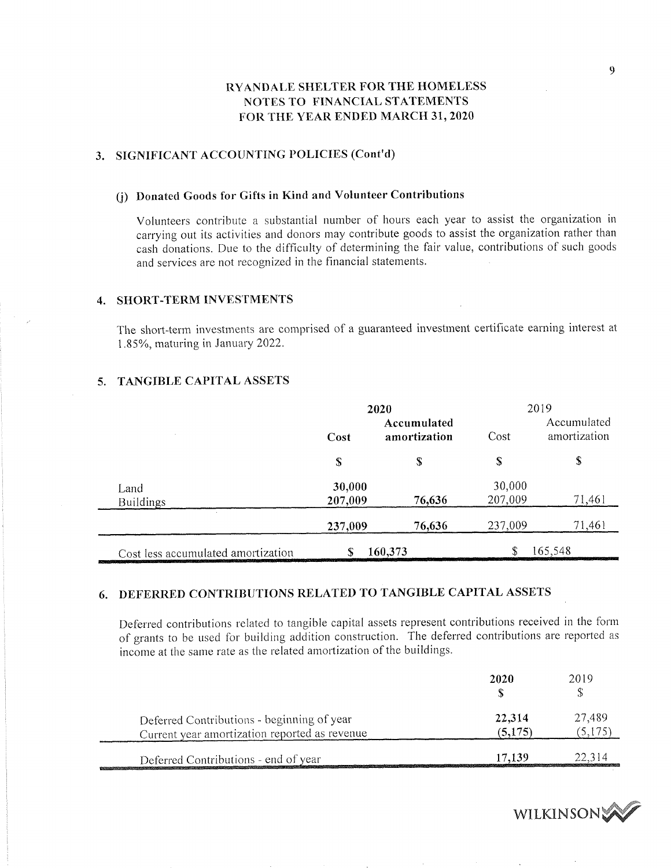## 3. SIGNIFICANT ACCOUNTING POLICIES (Cont'd)

## (j) Donated Goods for Gifts in Kind and Volunteer Contributions

Volunteers contribute a substantial number of hours each year to assist the organization in carrying out its activities and donors may contribute goods to assist the organization rather than cash donations. Due to the difficulty of determining the fair value, contributions of such goods and services are not recognized in the financial statements.

## 4. SHORT-TERM INVESTMENTS

The short-term investments are comprised of a guaranteed investment certificate earning interest at 1.85%, maturing in January 2022.

## 5. TANGIBLE CAPITAL ASSETS

|                                    | 2020                                |         | 2019              |                                                                                                                                 |  |
|------------------------------------|-------------------------------------|---------|-------------------|---------------------------------------------------------------------------------------------------------------------------------|--|
|                                    | Accumulated<br>amortization<br>Cost |         | Cost              | Accumulated<br>amortization                                                                                                     |  |
|                                    | \$                                  | S       | \$                | \$                                                                                                                              |  |
| Land<br>Buildings                  | 30,000<br>207,009                   | 76,636  | 30,000<br>207,009 | 71,461                                                                                                                          |  |
|                                    | 237,009                             | 76,636  | 237,009           | 71,461                                                                                                                          |  |
| Cost less accumulated amortization | S                                   | 160,373 |                   | 165,548<br><b>Dealer of the contract of the contract of the contract of the contract of the contract of the contract of the</b> |  |

## 6. DEFERRED CONTRIBUTIONS RELATED TO TANGIBLE CAPITAL ASSETS

Deferred contributions related to tangible capital assets represent contributions received in the form of grants to be used for building addition construction. The deferred contributions are reported as income at the same rate as the related amortization of the buildings.

|                                                                                             | 2020              | 2019                                                                                                                     |
|---------------------------------------------------------------------------------------------|-------------------|--------------------------------------------------------------------------------------------------------------------------|
| Deferred Contributions - beginning of year<br>Current year amortization reported as revenue | 22,314<br>(5,175) | 27,489<br>.5.175                                                                                                         |
| Deferred Contributions - end of year                                                        | 17.139            | 22,314<br>constitution on constitution and constitution of a constitution of the constitution of the constitution of the |

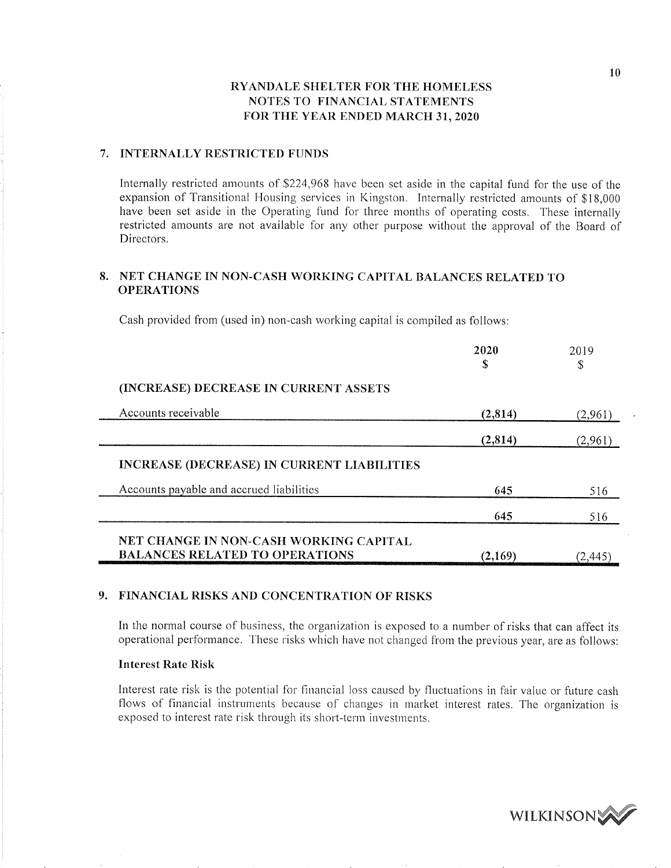### 7. INTERNALLY RESTRICTED FUNDS

Internally restricted amounts of \$224,968 have been set aside in the capital fund for the use of the expansion of Transitional Housing services in Kingston. Internally restricted amounts of \$18,000 have been set aside in the Operating fund for three months of operating costs. These internally restricted amounts are not available for any other purpose without the approval of the Board of Directors.

## 8. NET CHANGE IN NON-CASH WORKING CAPITAL BALANCES RELATED TO OPERATIONS

Cash provided from (used in) non-cash working capital is compiled as follows:

|                                                   | 2020<br>S | 2019<br>\$ |
|---------------------------------------------------|-----------|------------|
| (INCREASE) DECREASE IN CURRENT ASSETS             |           |            |
| Accounts receivable                               | (2,814)   | (2,961)    |
|                                                   | (2,814)   | (2,961)    |
| <b>INCREASE (DECREASE) IN CURRENT LIABILITIES</b> |           |            |
| Accounts payable and accrued liabilities          | 645       | 516        |
|                                                   | 645       | 516        |
| NET CHANGE IN NON-CASH WORKING CAPITAL            |           |            |
| <b>BALANCES RELATED TO OPERATIONS</b>             | (2,169)   | (2.445     |

## 9. FINANCIAL RISKS AND CONCENTRATION OF RISKS

In the normal course of business, the organization is exposed to a number of risks that can affect its operational performance. These risks which have not Changed from the previous year, are as follows:

### Interest Rate Risk

Interest rate risk is the potential for financial loss caused by fluctuations in fair value or future cash flows of financial instruments because of changes in market interest rates. The organization is exposed to interest rate risk through its short-term investments.